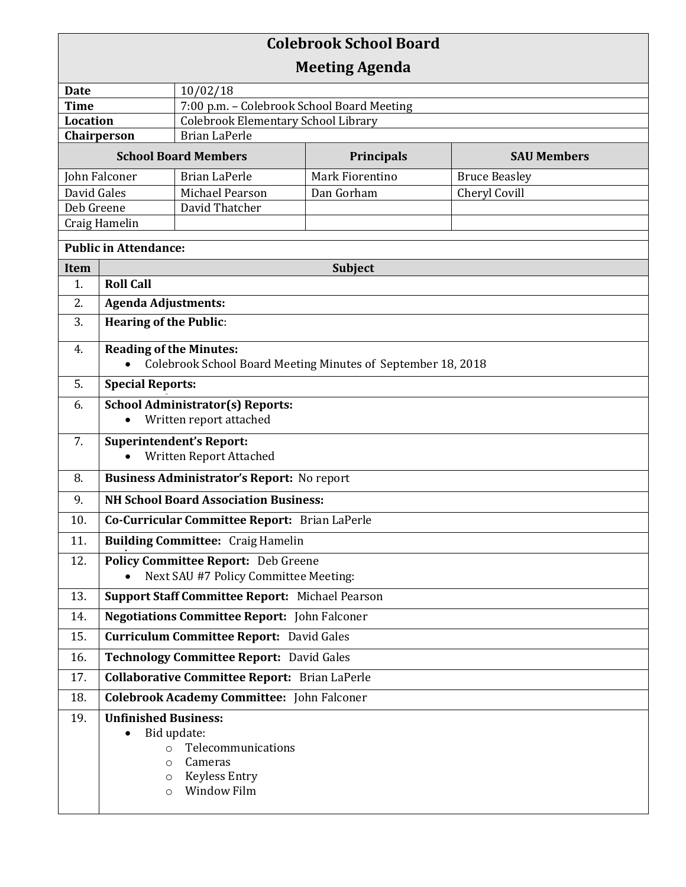## **Colebrook School Board Meeting Agenda Date** 10/02/18 **Time** 7:00 p.m. – Colebrook School Board Meeting **Location** | Colebrook Elementary School Library **Chairperson** | Brian LaPerle **School Board Members Principals SAU Members** John Falconer Brian LaPerle Mark Fiorentino Bruce Beasley David Gales Michael Pearson Dan Gorham Cheryl Covill Deb Greene | David Thatcher Craig Hamelin **Public in Attendance: Item Subject Subject** 1. **Roll Call** 2. **Agenda Adjustments:** 3. **Hearing of the Public**: 4. **Reading of the Minutes:**  Colebrook School Board Meeting Minutes of September 18, 2018 5. **Special Reports:** o 6. **School Administrator(s) Reports:**  Written report attached 7. **Superintendent's Report:**  Written Report Attached 8. **Business Administrator's Report:** No report 9. **NH School Board Association Business:** 10. **Co-Curricular Committee Report:** Brian LaPerle 11. **Building Committee:** Craig Hamelin . 12. **Policy Committee Report:** Deb Greene Next SAU #7 Policy Committee Meeting: 13. **Support Staff Committee Report:** Michael Pearson 14. **Negotiations Committee Report:** John Falconer 15. **Curriculum Committee Report:** David Gales 16. **Technology Committee Report:** David Gales 17. **Collaborative Committee Report:** Brian LaPerle 18. **Colebrook Academy Committee:** John Falconer 19. **Unfinished Business:**  • Bid update: o Telecommunications o Cameras o Keyless Entry o Window Film